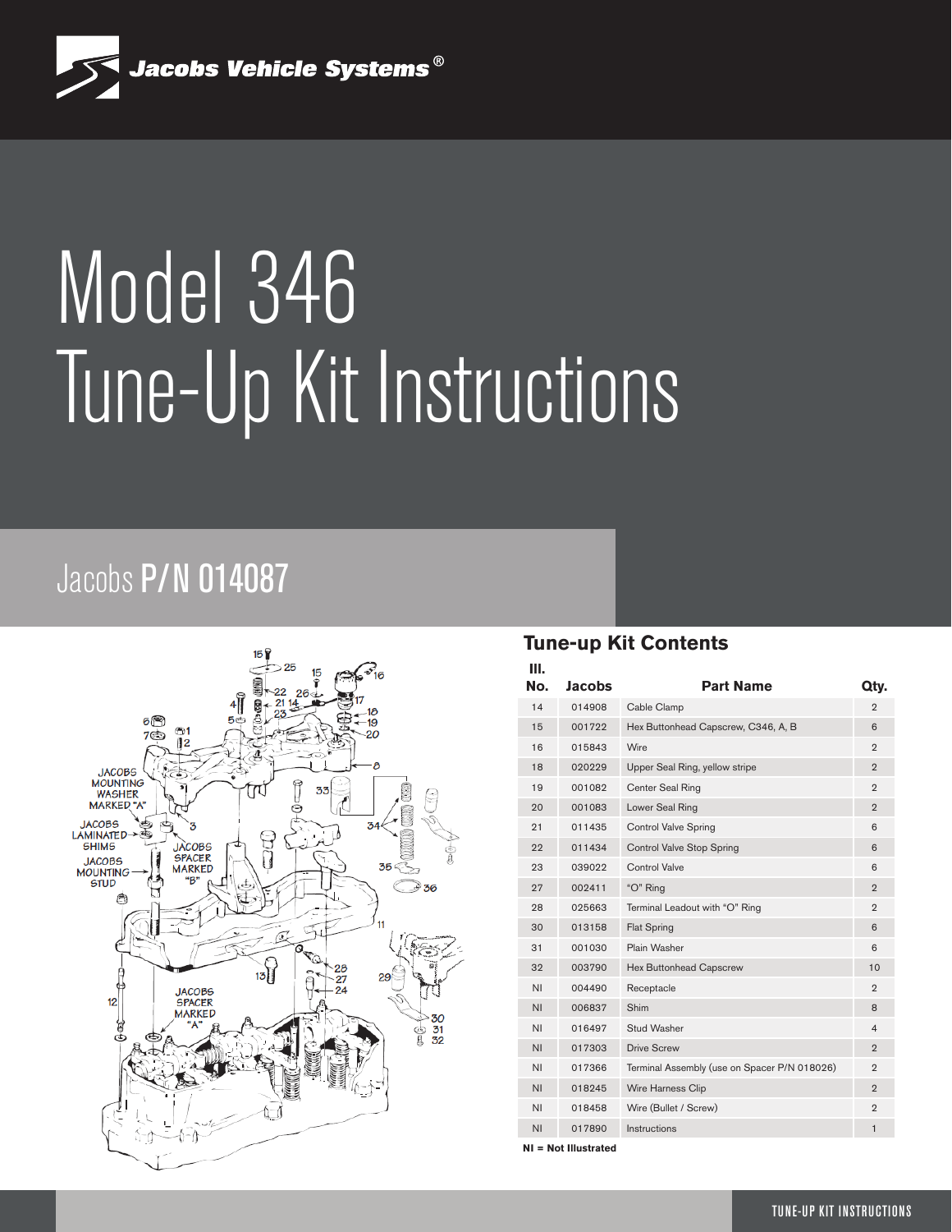

# Model 346 Tune-Up Kit Instructions

## Jacobs P/N 014087



#### **Tune-up Kit Contents**

| Ш.<br>No.      | Jacobs | <b>Part Name</b>                             | Qty.           |
|----------------|--------|----------------------------------------------|----------------|
| 14             | 014908 | Cable Clamp                                  | $\overline{2}$ |
| 15             | 001722 | Hex Buttonhead Capscrew, C346, A, B          | 6              |
| 16             | 015843 | Wire                                         | $\overline{2}$ |
| 18             | 020229 | Upper Seal Ring, yellow stripe               | $\overline{2}$ |
| 19             | 001082 | Center Seal Ring                             | $\overline{2}$ |
| 20             | 001083 | Lower Seal Ring                              | $\overline{2}$ |
| 21             | 011435 | <b>Control Valve Spring</b>                  | 6              |
| 22             | 011434 | Control Valve Stop Spring                    | 6              |
| 23             | 039022 | Control Valve                                | 6              |
| 27             | 002411 | "O" Ring                                     | $\overline{2}$ |
| 28             | 025663 | Terminal Leadout with "O" Ring               | $\overline{2}$ |
| 30             | 013158 | <b>Flat Spring</b>                           | 6              |
| 31             | 001030 | Plain Washer                                 | 6              |
| 32             | 003790 | Hex Buttonhead Capscrew                      | 10             |
| <b>NI</b>      | 004490 | Receptacle                                   | $\overline{2}$ |
| ΝI             | 006837 | Shim                                         | 8              |
| <b>NI</b>      | 016497 | Stud Washer                                  | $\overline{4}$ |
| N <sub>1</sub> | 017303 | <b>Drive Screw</b>                           | $\overline{2}$ |
| <b>NI</b>      | 017366 | Terminal Assembly (use on Spacer P/N 018026) | $\overline{2}$ |
| <b>NI</b>      | 018245 | Wire Harness Clip                            | $\overline{2}$ |
| ΝI             | 018458 | Wire (Bullet / Screw)                        | $\overline{2}$ |
| ΝI             | 017890 | Instructions                                 | $\mathbf{1}$   |
|                |        |                                              |                |

**NI = Not Illustrated**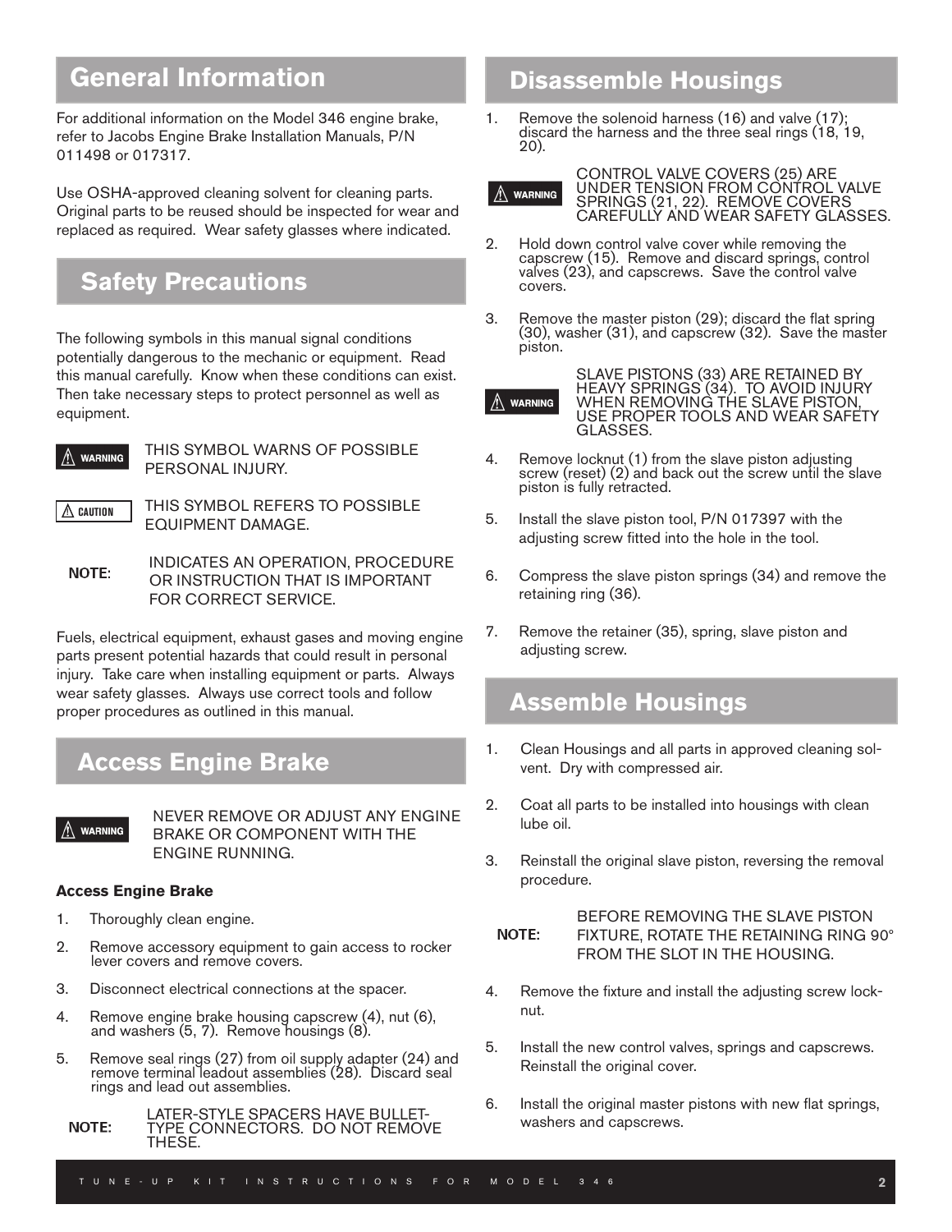## **General Information**

For additional information on the Model 346 engine brake, refer to Jacobs Engine Brake Installation Manuals, P/N 011498 or 017317.

Use OSHA-approved cleaning solvent for cleaning parts. Original parts to be reused should be inspected for wear and replaced as required. Wear safety glasses where indicated.

## **Safety Precautions**

The following symbols in this manual signal conditions potentially dangerous to the mechanic or equipment. Read this manual carefully. Know when these conditions can exist. Then take necessary steps to protect personnel as well as equipment.



**WARNING THIS SYMBOL WARNS OF POSSIBLE** PERSONAL INJURY.

 $\triangle$  caution

 THIS SYMBOL REFERS TO POSSIBLE EQUIPMENT DAMAGE.

INDICATES AN OPERATION, PROCEDURE OR INSTRUCTION THAT IS IMPORTANT FOR CORRECT SERVICE.

Fuels, electrical equipment, exhaust gases and moving engine parts present potential hazards that could result in personal injury. Take care when installing equipment or parts. Always wear safety glasses. Always use correct tools and follow proper procedures as outlined in this manual.

## **Access Engine Brake**

NEVER REMOVE OR ADJUST ANY ENGINE BRAKE OR COMPONENT WITH THE ENGINE RUNNING.

#### **Access Engine Brake**

- 1. Thoroughly clean engine.
- 2. Remove accessory equipment to gain access to rocker lever covers and remove covers.
- 3. Disconnect electrical connections at the spacer.
- 4. Remove engine brake housing capscrew (4), nut (6), and washers (5, 7). Remove housings (8).
- 5. Remove seal rings (27) from oil supply adapter (24) and remove terminal leadout assemblies (28). Discard seal rings and lead out assemblies.
	- LATER-STYLE SPACERS HAVE BULLET-**NOTE:** TYPE CONNECTORS. DO NOT REMOVE THESE.

## **Disassemble Housings**

1. Remove the solenoid harness (16) and valve (17); discard the harness and the three seal rings (18, 19, 20).



CONTROL VALVE COVERS (25) ARE UNDER TENSION FROM CONTROL VALVE SPRINGS (21, 22). REMOVE COVERS CAREFULLY AND WEAR SAFETY GLASSES.

- 2. Hold down control valve cover while removing the capscrew (15). Remove and discard springs, control valves (23), and capscrews. Save the control valve covers.
- 3. Remove the master piston (29); discard the flat spring (30), washer (31), and capscrew (32). Save the master piston.



SLAVE PISTONS (33) ARE RETAINED BY HEAVY SPRINGS (34). TO AVOID INJURY WHEN REMOVING THE SLAVE PISTON, USE PROPER TOOLS AND WEAR SAFETY GLASSES.

- 4. Remove locknut (1) from the slave piston adjusting screw (reset) (2) and back out the screw until the slave piston is fully retracted.
- 5. Install the slave piston tool, P/N 017397 with the adjusting screw fitted into the hole in the tool.
- 6. Compress the slave piston springs (34) and remove the retaining ring (36).
- 7. Remove the retainer (35), spring, slave piston and adjusting screw.

### **Assemble Housings**

- 1. Clean Housings and all parts in approved cleaning solvent. Dry with compressed air.
- 2. Coat all parts to be installed into housings with clean lube oil.
- 3. Reinstall the original slave piston, reversing the removal procedure.

#### BEFORE REMOVING THE SLAVE PISTON FIXTURE, ROTATE THE RETAINING RING 90° **NOTE:** FROM THE SLOT IN THE HOUSING.

- 4. Remove the fixture and install the adjusting screw locknut.
- 5. Install the new control valves, springs and capscrews. Reinstall the original cover.
- 6. Install the original master pistons with new flat springs, washers and capscrews.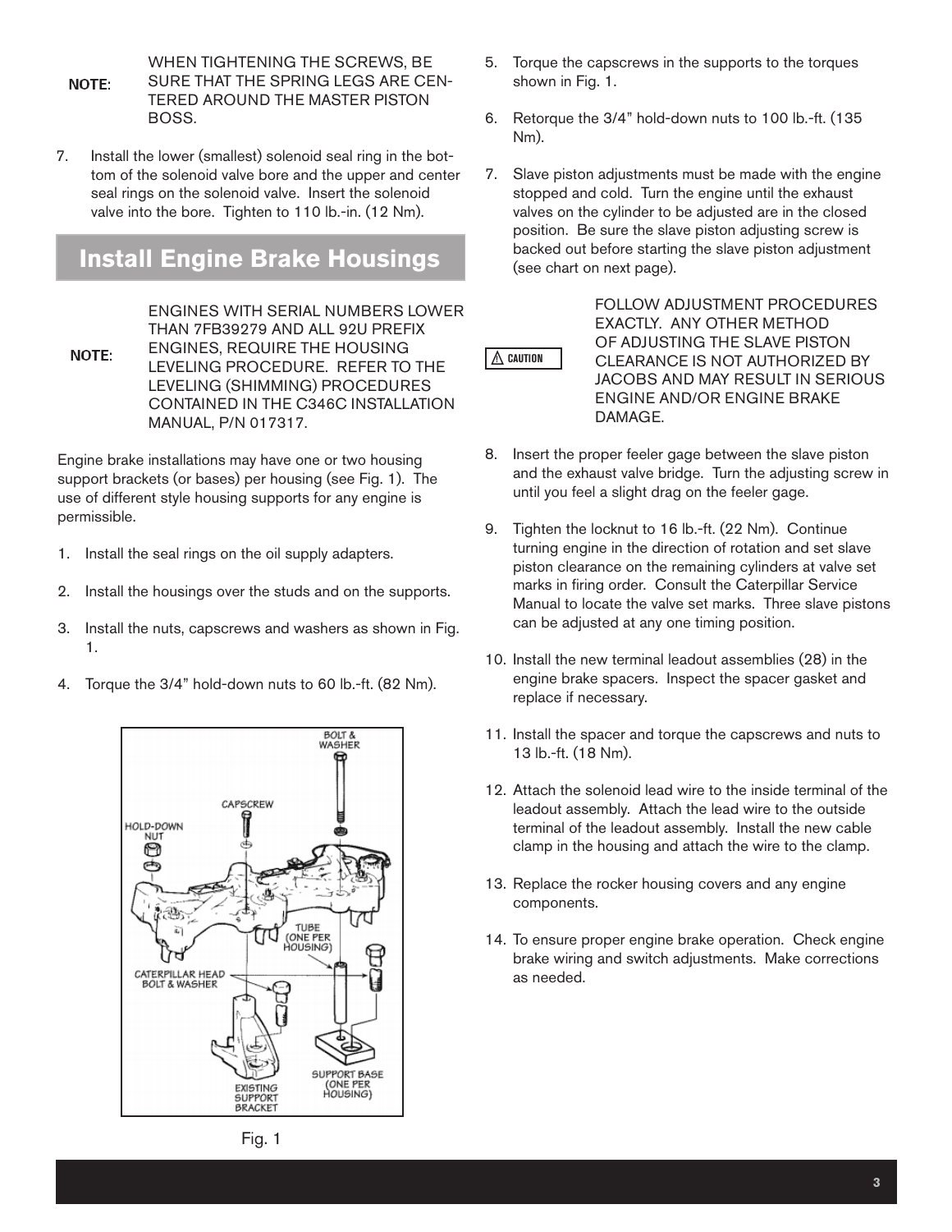WHEN TIGHTENING THE SCREWS, BE SURE THAT THE SPRING LEGS ARE CEN-**NOTE:** TERED AROUND THE MASTER PISTON BOSS.

7. Install the lower (smallest) solenoid seal ring in the bottom of the solenoid valve bore and the upper and center seal rings on the solenoid valve. Insert the solenoid valve into the bore. Tighten to 110 lb.-in. (12 Nm).

## **Install Engine Brake Housings**

ENGINES WITH SERIAL NUMBERS LOWER THAN 7FB39279 AND ALL 92U PREFIX ENGINES, REQUIRE THE HOUSING NOTE: LEVELING PROCEDURE. REFER TO THE LEVELING (SHIMMING) PROCEDURES CONTAINED IN THE C346C INSTALLATION MANUAL, P/N 017317.

Engine brake installations may have one or two housing support brackets (or bases) per housing (see Fig. 1). The use of different style housing supports for any engine is permissible.

- 1. Install the seal rings on the oil supply adapters.
- 2. Install the housings over the studs and on the supports.
- 3. Install the nuts, capscrews and washers as shown in Fig. 1.
- 4. Torque the 3/4" hold-down nuts to 60 lb.-ft. (82 Nm).



- 5. Torque the capscrews in the supports to the torques shown in Fig. 1.
- 6. Retorque the 3/4" hold-down nuts to 100 lb.-ft. (135 Nm).
- 7. Slave piston adjustments must be made with the engine stopped and cold. Turn the engine until the exhaust valves on the cylinder to be adjusted are in the closed position. Be sure the slave piston adjusting screw is backed out before starting the slave piston adjustment (see chart on next page).



FOLLOW ADJUSTMENT PROCEDURES EXACTLY. ANY OTHER METHOD OF ADJUSTING THE SLAVE PISTON CLEARANCE IS NOT AUTHORIZED BY JACOBS AND MAY RESULT IN SERIOUS ENGINE AND/OR ENGINE BRAKE DAMAGE.

- 8. Insert the proper feeler gage between the slave piston and the exhaust valve bridge. Turn the adjusting screw in until you feel a slight drag on the feeler gage.
- 9. Tighten the locknut to 16 lb.-ft. (22 Nm). Continue turning engine in the direction of rotation and set slave piston clearance on the remaining cylinders at valve set marks in firing order. Consult the Caterpillar Service Manual to locate the valve set marks. Three slave pistons can be adjusted at any one timing position.
- 10. Install the new terminal leadout assemblies (28) in the engine brake spacers. Inspect the spacer gasket and replace if necessary.
- 11. Install the spacer and torque the capscrews and nuts to 13 lb.-ft. (18 Nm).
- 12. Attach the solenoid lead wire to the inside terminal of the leadout assembly. Attach the lead wire to the outside terminal of the leadout assembly. Install the new cable clamp in the housing and attach the wire to the clamp.
- 13. Replace the rocker housing covers and any engine components.
- 14. To ensure proper engine brake operation. Check engine brake wiring and switch adjustments. Make corrections as needed.